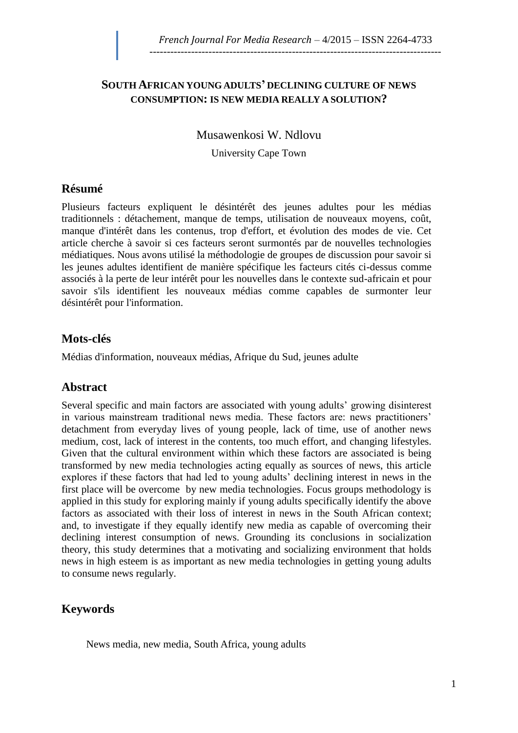#### **SOUTH AFRICAN YOUNG ADULTS' DECLINING CULTURE OF NEWS CONSUMPTION: IS NEW MEDIA REALLY A SOLUTION?**

Musawenkosi W. Ndlovu

University Cape Town

### **Résumé**

Plusieurs facteurs expliquent le désintérêt des jeunes adultes pour les médias traditionnels : détachement, manque de temps, utilisation de nouveaux moyens, coût, manque d'intérêt dans les contenus, trop d'effort, et évolution des modes de vie. Cet article cherche à savoir si ces facteurs seront surmontés par de nouvelles technologies médiatiques. Nous avons utilisé la méthodologie de groupes de discussion pour savoir si les jeunes adultes identifient de manière spécifique les facteurs cités ci-dessus comme associés à la perte de leur intérêt pour les nouvelles dans le contexte sud-africain et pour savoir s'ils identifient les nouveaux médias comme capables de surmonter leur désintérêt pour l'information.

### **Mots-clés**

Médias d'information, nouveaux médias, Afrique du Sud, jeunes adulte

### **Abstract**

Several specific and main factors are associated with young adults' growing disinterest in various mainstream traditional news media. These factors are: news practitioners' detachment from everyday lives of young people, lack of time, use of another news medium, cost, lack of interest in the contents, too much effort, and changing lifestyles. Given that the cultural environment within which these factors are associated is being transformed by new media technologies acting equally as sources of news, this article explores if these factors that had led to young adults' declining interest in news in the first place will be overcome by new media technologies. Focus groups methodology is applied in this study for exploring mainly if young adults specifically identify the above factors as associated with their loss of interest in news in the South African context; and, to investigate if they equally identify new media as capable of overcoming their declining interest consumption of news. Grounding its conclusions in socialization theory, this study determines that a motivating and socializing environment that holds news in high esteem is as important as new media technologies in getting young adults to consume news regularly.

### **Keywords**

News media, new media, South Africa, young adults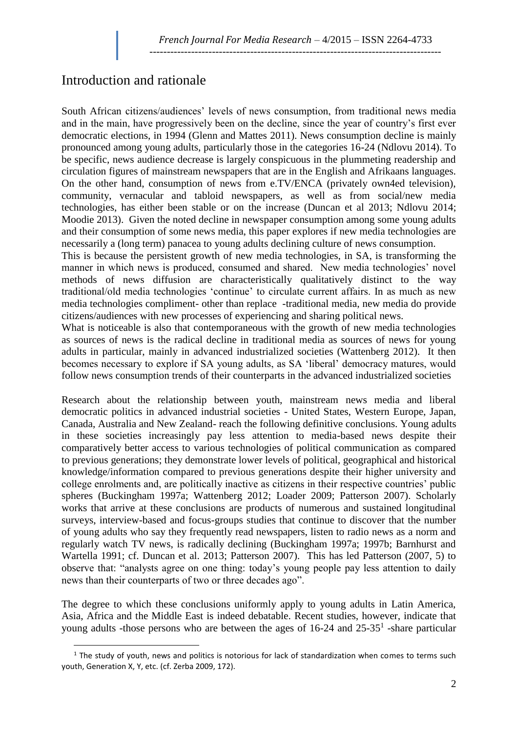## Introduction and rationale

 $\overline{a}$ 

South African citizens/audiences' levels of news consumption, from traditional news media and in the main, have progressively been on the decline, since the year of country's first ever democratic elections, in 1994 (Glenn and Mattes 2011). News consumption decline is mainly pronounced among young adults, particularly those in the categories 16-24 (Ndlovu 2014). To be specific, news audience decrease is largely conspicuous in the plummeting readership and circulation figures of mainstream newspapers that are in the English and Afrikaans languages. On the other hand, consumption of news from e.TV/ENCA (privately own4ed television), community, vernacular and tabloid newspapers, as well as from social/new media technologies, has either been stable or on the increase (Duncan et al 2013; Ndlovu 2014; Moodie 2013). Given the noted decline in newspaper consumption among some young adults and their consumption of some news media, this paper explores if new media technologies are necessarily a (long term) panacea to young adults declining culture of news consumption.

This is because the persistent growth of new media technologies, in SA, is transforming the manner in which news is produced, consumed and shared. New media technologies' novel methods of news diffusion are characteristically qualitatively distinct to the way traditional/old media technologies 'continue' to circulate current affairs. In as much as new media technologies compliment- other than replace -traditional media, new media do provide citizens/audiences with new processes of experiencing and sharing political news.

What is noticeable is also that contemporaneous with the growth of new media technologies as sources of news is the radical decline in traditional media as sources of news for young adults in particular, mainly in advanced industrialized societies (Wattenberg 2012). It then becomes necessary to explore if SA young adults, as SA 'liberal' democracy matures, would follow news consumption trends of their counterparts in the advanced industrialized societies

Research about the relationship between youth, mainstream news media and liberal democratic politics in advanced industrial societies - United States, Western Europe, Japan, Canada, Australia and New Zealand- reach the following definitive conclusions. Young adults in these societies increasingly pay less attention to media-based news despite their comparatively better access to various technologies of political communication as compared to previous generations; they demonstrate lower levels of political, geographical and historical knowledge/information compared to previous generations despite their higher university and college enrolments and, are politically inactive as citizens in their respective countries' public spheres (Buckingham 1997a; Wattenberg 2012; Loader 2009; Patterson 2007). Scholarly works that arrive at these conclusions are products of numerous and sustained longitudinal surveys, interview-based and focus-groups studies that continue to discover that the number of young adults who say they frequently read newspapers, listen to radio news as a norm and regularly watch TV news, is radically declining (Buckingham 1997a; 1997b; Barnhurst and Wartella 1991; cf. Duncan et al. 2013; Patterson 2007). This has led Patterson (2007, 5) to observe that: "analysts agree on one thing: today's young people pay less attention to daily news than their counterparts of two or three decades ago".

The degree to which these conclusions uniformly apply to young adults in Latin America, Asia, Africa and the Middle East is indeed debatable. Recent studies, however, indicate that young adults -those persons who are between the ages of  $16-24$  and  $25-35<sup>1</sup>$  -share particular

 $1$  The study of youth, news and politics is notorious for lack of standardization when comes to terms such youth, Generation X, Y, etc. (cf. Zerba 2009, 172).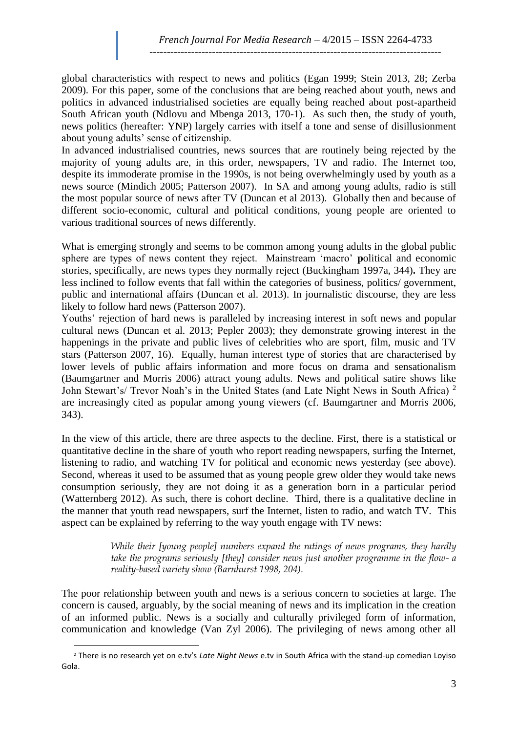global characteristics with respect to news and politics (Egan 1999; Stein 2013, 28; Zerba 2009). For this paper, some of the conclusions that are being reached about youth, news and politics in advanced industrialised societies are equally being reached about post-apartheid South African youth (Ndlovu and Mbenga 2013, 170-1). As such then, the study of youth, news politics (hereafter: YNP) largely carries with itself a tone and sense of disillusionment about young adults' sense of citizenship.

In advanced industrialised countries, news sources that are routinely being rejected by the majority of young adults are, in this order, newspapers, TV and radio. The Internet too, despite its immoderate promise in the 1990s, is not being overwhelmingly used by youth as a news source (Mindich 2005; Patterson 2007). In SA and among young adults, radio is still the most popular source of news after TV (Duncan et al 2013). Globally then and because of different socio-economic, cultural and political conditions, young people are oriented to various traditional sources of news differently.

What is emerging strongly and seems to be common among young adults in the global public sphere are types of news content they reject. Mainstream 'macro' **p**olitical and economic stories, specifically, are news types they normally reject (Buckingham 1997a, 344)**.** They are less inclined to follow events that fall within the categories of business, politics/ government, public and international affairs (Duncan et al. 2013). In journalistic discourse, they are less likely to follow hard news (Patterson 2007).

Youths' rejection of hard news is paralleled by increasing interest in soft news and popular cultural news (Duncan et al. 2013; Pepler 2003); they demonstrate growing interest in the happenings in the private and public lives of celebrities who are sport, film, music and TV stars (Patterson 2007, 16). Equally, human interest type of stories that are characterised by lower levels of public affairs information and more focus on drama and sensationalism (Baumgartner and Morris 2006) attract young adults. News and political satire shows like John Stewart's/ Trevor Noah's in the United States (and Late Night News in South Africa) <sup>2</sup> are increasingly cited as popular among young viewers (cf. Baumgartner and Morris 2006, 343).

In the view of this article, there are three aspects to the decline. First, there is a statistical or quantitative decline in the share of youth who report reading newspapers, surfing the Internet, listening to radio, and watching TV for political and economic news yesterday (see above). Second, whereas it used to be assumed that as young people grew older they would take news consumption seriously, they are not doing it as a generation born in a particular period (Watternberg 2012). As such, there is cohort decline. Third, there is a qualitative decline in the manner that youth read newspapers, surf the Internet, listen to radio, and watch TV. This aspect can be explained by referring to the way youth engage with TV news:

> *While their [young people] numbers expand the ratings of news programs, they hardly take the programs seriously [they] consider news just another programme in the flow- a reality-based variety show (Barnhurst 1998, 204).*

The poor relationship between youth and news is a serious concern to societies at large. The concern is caused, arguably, by the social meaning of news and its implication in the creation of an informed public. News is a socially and culturally privileged form of information, communication and knowledge (Van Zyl 2006). The privileging of news among other all

 $\overline{a}$ 

<sup>2</sup> There is no research yet on e.tv's *Late Night News* e.tv in South Africa with the stand-up comedian Loyiso Gola.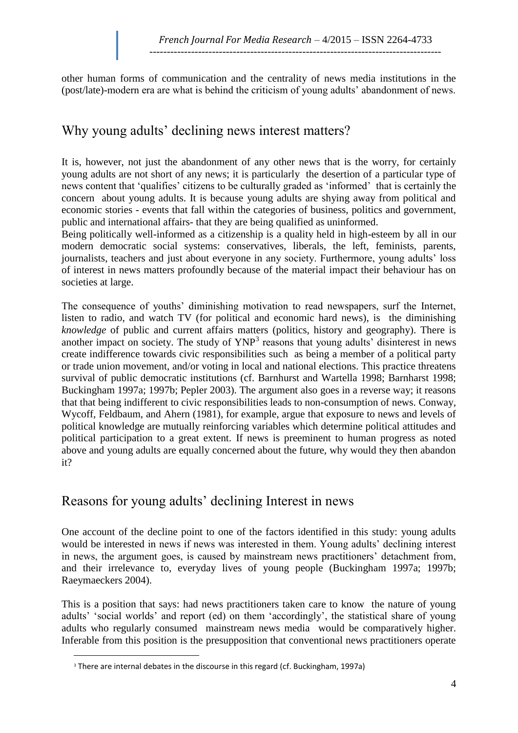other human forms of communication and the centrality of news media institutions in the (post/late)-modern era are what is behind the criticism of young adults' abandonment of news.

# Why young adults' declining news interest matters?

It is, however, not just the abandonment of any other news that is the worry, for certainly young adults are not short of any news; it is particularly the desertion of a particular type of news content that 'qualifies' citizens to be culturally graded as 'informed' that is certainly the concern about young adults. It is because young adults are shying away from political and economic stories - events that fall within the categories of business, politics and government, public and international affairs- that they are being qualified as uninformed.

Being politically well-informed as a citizenship is a quality held in high-esteem by all in our modern democratic social systems: conservatives, liberals, the left, feminists, parents, journalists, teachers and just about everyone in any society. Furthermore, young adults' loss of interest in news matters profoundly because of the material impact their behaviour has on societies at large.

The consequence of youths' diminishing motivation to read newspapers, surf the Internet, listen to radio, and watch TV (for political and economic hard news), is the diminishing *knowledge* of public and current affairs matters (politics, history and geography). There is another impact on society. The study of  $YNP<sup>3</sup>$  reasons that young adults' disinterest in news create indifference towards civic responsibilities such as being a member of a political party or trade union movement, and/or voting in local and national elections. This practice threatens survival of public democratic institutions (cf. Barnhurst and Wartella 1998; Barnharst 1998; Buckingham 1997a; 1997b; Pepler 2003). The argument also goes in a reverse way; it reasons that that being indifferent to civic responsibilities leads to non-consumption of news. Conway, Wycoff, Feldbaum, and Ahern (1981), for example, argue that exposure to news and levels of political knowledge are mutually reinforcing variables which determine political attitudes and political participation to a great extent. If news is preeminent to human progress as noted above and young adults are equally concerned about the future, why would they then abandon it?

## Reasons for young adults' declining Interest in news

One account of the decline point to one of the factors identified in this study: young adults would be interested in news if news was interested in them. Young adults' declining interest in news, the argument goes, is caused by mainstream news practitioners' detachment from, and their irrelevance to, everyday lives of young people (Buckingham 1997a; 1997b; Raeymaeckers 2004).

This is a position that says: had news practitioners taken care to know the nature of young adults' 'social worlds' and report (ed) on them 'accordingly', the statistical share of young adults who regularly consumed mainstream news media would be comparatively higher. Inferable from this position is the presupposition that conventional news practitioners operate

 $\overline{a}$ 

<sup>&</sup>lt;sup>3</sup> There are internal debates in the discourse in this regard (cf. Buckingham, 1997a)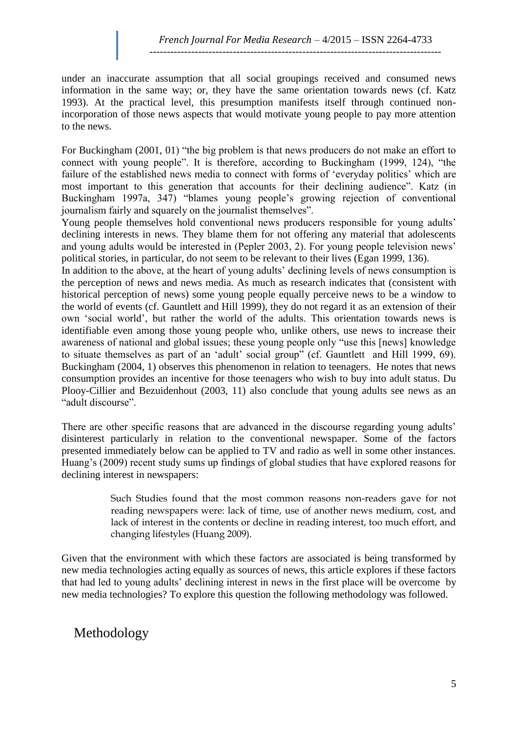under an inaccurate assumption that all social groupings received and consumed news information in the same way; or, they have the same orientation towards news (cf. Katz 1993). At the practical level, this presumption manifests itself through continued nonincorporation of those news aspects that would motivate young people to pay more attention to the news.

For Buckingham (2001, 01) "the big problem is that news producers do not make an effort to connect with young people". It is therefore, according to Buckingham (1999, 124), "the failure of the established news media to connect with forms of 'everyday politics' which are most important to this generation that accounts for their declining audience". Katz (in Buckingham 1997a, 347) "blames young people's growing rejection of conventional journalism fairly and squarely on the journalist themselves".

Young people themselves hold conventional news producers responsible for young adults' declining interests in news. They blame them for not offering any material that adolescents and young adults would be interested in (Pepler 2003, 2). For young people television news' political stories, in particular, do not seem to be relevant to their lives (Egan 1999, 136).

In addition to the above, at the heart of young adults' declining levels of news consumption is the perception of news and news media. As much as research indicates that (consistent with historical perception of news) some young people equally perceive news to be a window to the world of events (cf. Gauntlett and Hill 1999), they do not regard it as an extension of their own 'social world', but rather the world of the adults. This orientation towards news is identifiable even among those young people who, unlike others, use news to increase their awareness of national and global issues; these young people only "use this [news] knowledge to situate themselves as part of an 'adult' social group" (cf. Gauntlett and Hill 1999, 69). Buckingham (2004, 1) observes this phenomenon in relation to teenagers. He notes that news consumption provides an incentive for those teenagers who wish to buy into adult status. Du Plooy-Cillier and Bezuidenhout (2003, 11) also conclude that young adults see news as an "adult discourse".

There are other specific reasons that are advanced in the discourse regarding young adults' disinterest particularly in relation to the conventional newspaper. Some of the factors presented immediately below can be applied to TV and radio as well in some other instances. Huang's (2009) recent study sums up findings of global studies that have explored reasons for declining interest in newspapers:

> Such Studies found that the most common reasons non-readers gave for not reading newspapers were: lack of time, use of another news medium, cost, and lack of interest in the contents or decline in reading interest, too much effort, and changing lifestyles (Huang 2009).

Given that the environment with which these factors are associated is being transformed by new media technologies acting equally as sources of news, this article explores if these factors that had led to young adults' declining interest in news in the first place will be overcome by new media technologies? To explore this question the following methodology was followed.

## Methodology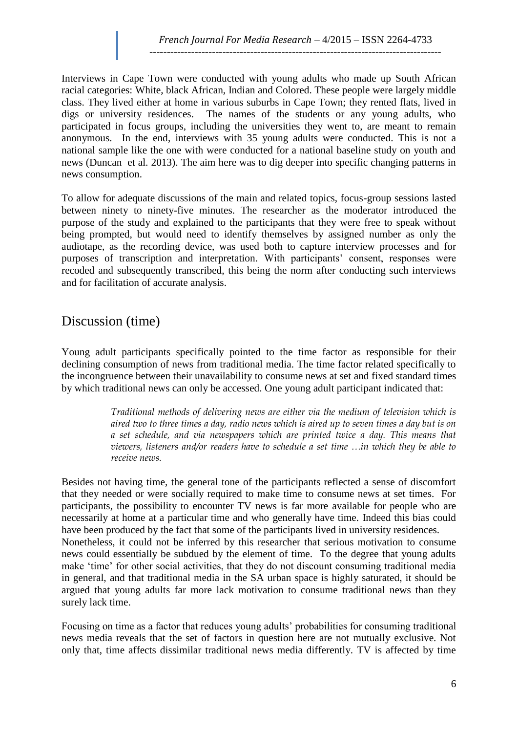Interviews in Cape Town were conducted with young adults who made up South African racial categories: White, black African, Indian and Colored. These people were largely middle class. They lived either at home in various suburbs in Cape Town; they rented flats, lived in digs or university residences. The names of the students or any young adults, who participated in focus groups, including the universities they went to, are meant to remain anonymous. In the end, interviews with 35 young adults were conducted. This is not a national sample like the one with were conducted for a national baseline study on youth and news (Duncan et al. 2013). The aim here was to dig deeper into specific changing patterns in news consumption.

To allow for adequate discussions of the main and related topics, focus-group sessions lasted between ninety to ninety-five minutes. The researcher as the moderator introduced the purpose of the study and explained to the participants that they were free to speak without being prompted, but would need to identify themselves by assigned number as only the audiotape, as the recording device, was used both to capture interview processes and for purposes of transcription and interpretation. With participants' consent, responses were recoded and subsequently transcribed, this being the norm after conducting such interviews and for facilitation of accurate analysis.

### Discussion (time)

Young adult participants specifically pointed to the time factor as responsible for their declining consumption of news from traditional media. The time factor related specifically to the incongruence between their unavailability to consume news at set and fixed standard times by which traditional news can only be accessed. One young adult participant indicated that:

> *Traditional methods of delivering news are either via the medium of television which is aired two to three times a day, radio news which is aired up to seven times a day but is on a set schedule, and via newspapers which are printed twice a day. This means that viewers, listeners and/or readers have to schedule a set time …in which they be able to receive news.*

Besides not having time, the general tone of the participants reflected a sense of discomfort that they needed or were socially required to make time to consume news at set times. For participants, the possibility to encounter TV news is far more available for people who are necessarily at home at a particular time and who generally have time. Indeed this bias could have been produced by the fact that some of the participants lived in university residences. Nonetheless, it could not be inferred by this researcher that serious motivation to consume news could essentially be subdued by the element of time. To the degree that young adults make 'time' for other social activities, that they do not discount consuming traditional media in general, and that traditional media in the SA urban space is highly saturated, it should be argued that young adults far more lack motivation to consume traditional news than they surely lack time.

Focusing on time as a factor that reduces young adults' probabilities for consuming traditional news media reveals that the set of factors in question here are not mutually exclusive. Not only that, time affects dissimilar traditional news media differently. TV is affected by time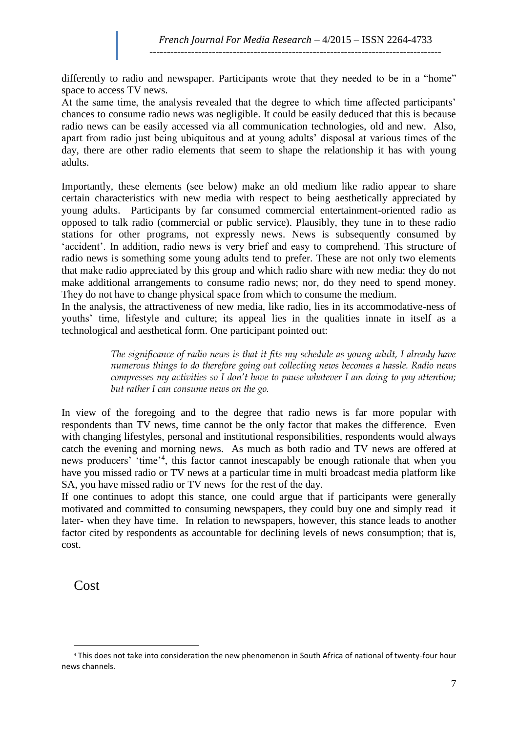differently to radio and newspaper. Participants wrote that they needed to be in a "home" space to access TV news.

At the same time, the analysis revealed that the degree to which time affected participants' chances to consume radio news was negligible. It could be easily deduced that this is because radio news can be easily accessed via all communication technologies, old and new. Also, apart from radio just being ubiquitous and at young adults' disposal at various times of the day, there are other radio elements that seem to shape the relationship it has with young adults.

Importantly, these elements (see below) make an old medium like radio appear to share certain characteristics with new media with respect to being aesthetically appreciated by young adults. Participants by far consumed commercial entertainment-oriented radio as opposed to talk radio (commercial or public service). Plausibly, they tune in to these radio stations for other programs, not expressly news. News is subsequently consumed by 'accident'. In addition, radio news is very brief and easy to comprehend. This structure of radio news is something some young adults tend to prefer. These are not only two elements that make radio appreciated by this group and which radio share with new media: they do not make additional arrangements to consume radio news; nor, do they need to spend money. They do not have to change physical space from which to consume the medium.

In the analysis, the attractiveness of new media, like radio, lies in its accommodative-ness of youths' time, lifestyle and culture; its appeal lies in the qualities innate in itself as a technological and aesthetical form. One participant pointed out:

> *The significance of radio news is that it fits my schedule as young adult, I already have numerous things to do therefore going out collecting news becomes a hassle. Radio news compresses my activities so I don't have to pause whatever I am doing to pay attention; but rather I can consume news on the go.*

In view of the foregoing and to the degree that radio news is far more popular with respondents than TV news, time cannot be the only factor that makes the difference. Even with changing lifestyles, personal and institutional responsibilities, respondents would always catch the evening and morning news. As much as both radio and TV news are offered at news producers' 'time'<sup>4</sup> , this factor cannot inescapably be enough rationale that when you have you missed radio or TV news at a particular time in multi broadcast media platform like SA, you have missed radio or TV news for the rest of the day.

If one continues to adopt this stance, one could argue that if participants were generally motivated and committed to consuming newspapers, they could buy one and simply read it later- when they have time. In relation to newspapers, however, this stance leads to another factor cited by respondents as accountable for declining levels of news consumption; that is, cost.

Cost

 $\overline{a}$ 

<sup>4</sup> This does not take into consideration the new phenomenon in South Africa of national of twenty-four hour news channels.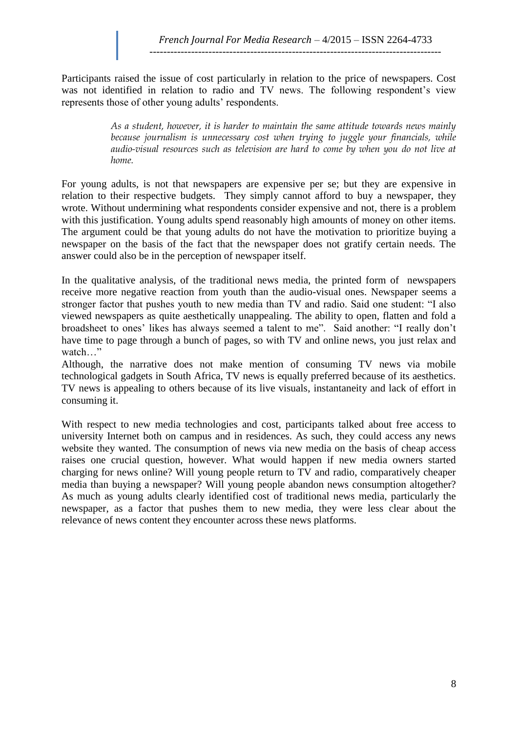Participants raised the issue of cost particularly in relation to the price of newspapers. Cost was not identified in relation to radio and TV news. The following respondent's view represents those of other young adults' respondents.

> *As a student, however, it is harder to maintain the same attitude towards news mainly because journalism is unnecessary cost when trying to juggle your financials, while audio-visual resources such as television are hard to come by when you do not live at home.*

For young adults, is not that newspapers are expensive per se; but they are expensive in relation to their respective budgets. They simply cannot afford to buy a newspaper, they wrote. Without undermining what respondents consider expensive and not, there is a problem with this justification. Young adults spend reasonably high amounts of money on other items. The argument could be that young adults do not have the motivation to prioritize buying a newspaper on the basis of the fact that the newspaper does not gratify certain needs. The answer could also be in the perception of newspaper itself.

In the qualitative analysis, of the traditional news media, the printed form of newspapers receive more negative reaction from youth than the audio-visual ones. Newspaper seems a stronger factor that pushes youth to new media than TV and radio. Said one student: "I also viewed newspapers as quite aesthetically unappealing. The ability to open, flatten and fold a broadsheet to ones' likes has always seemed a talent to me". Said another: "I really don't have time to page through a bunch of pages, so with TV and online news, you just relax and watch…"

Although, the narrative does not make mention of consuming TV news via mobile technological gadgets in South Africa, TV news is equally preferred because of its aesthetics. TV news is appealing to others because of its live visuals, instantaneity and lack of effort in consuming it.

With respect to new media technologies and cost, participants talked about free access to university Internet both on campus and in residences. As such, they could access any news website they wanted. The consumption of news via new media on the basis of cheap access raises one crucial question, however. What would happen if new media owners started charging for news online? Will young people return to TV and radio, comparatively cheaper media than buying a newspaper? Will young people abandon news consumption altogether? As much as young adults clearly identified cost of traditional news media, particularly the newspaper, as a factor that pushes them to new media, they were less clear about the relevance of news content they encounter across these news platforms.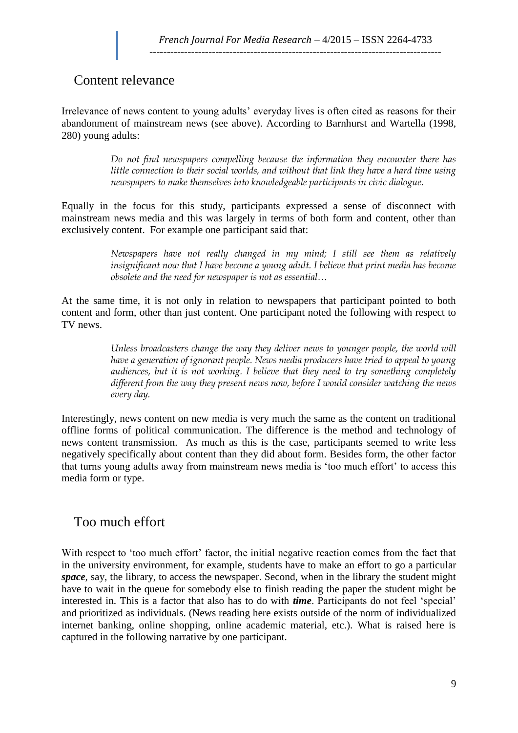## Content relevance

Irrelevance of news content to young adults' everyday lives is often cited as reasons for their abandonment of mainstream news (see above). According to Barnhurst and Wartella (1998, 280) young adults:

> *Do not find newspapers compelling because the information they encounter there has little connection to their social worlds, and without that link they have a hard time using newspapers to make themselves into knowledgeable participants in civic dialogue.*

Equally in the focus for this study, participants expressed a sense of disconnect with mainstream news media and this was largely in terms of both form and content, other than exclusively content. For example one participant said that:

> *Newspapers have not really changed in my mind; I still see them as relatively insignificant now that I have become a young adult. I believe that print media has become obsolete and the need for newspaper is not as essential…*

At the same time, it is not only in relation to newspapers that participant pointed to both content and form, other than just content. One participant noted the following with respect to TV news.

> *Unless broadcasters change the way they deliver news to younger people, the world will have a generation of ignorant people. News media producers have tried to appeal to young audiences, but it is not working. I believe that they need to try something completely different from the way they present news now, before I would consider watching the news every day.*

Interestingly, news content on new media is very much the same as the content on traditional offline forms of political communication. The difference is the method and technology of news content transmission. As much as this is the case, participants seemed to write less negatively specifically about content than they did about form. Besides form, the other factor that turns young adults away from mainstream news media is 'too much effort' to access this media form or type.

### Too much effort

With respect to 'too much effort' factor, the initial negative reaction comes from the fact that in the university environment, for example, students have to make an effort to go a particular *space*, say, the library, to access the newspaper. Second, when in the library the student might have to wait in the queue for somebody else to finish reading the paper the student might be interested in. This is a factor that also has to do with *time*. Participants do not feel 'special' and prioritized as individuals. (News reading here exists outside of the norm of individualized internet banking, online shopping, online academic material, etc.). What is raised here is captured in the following narrative by one participant.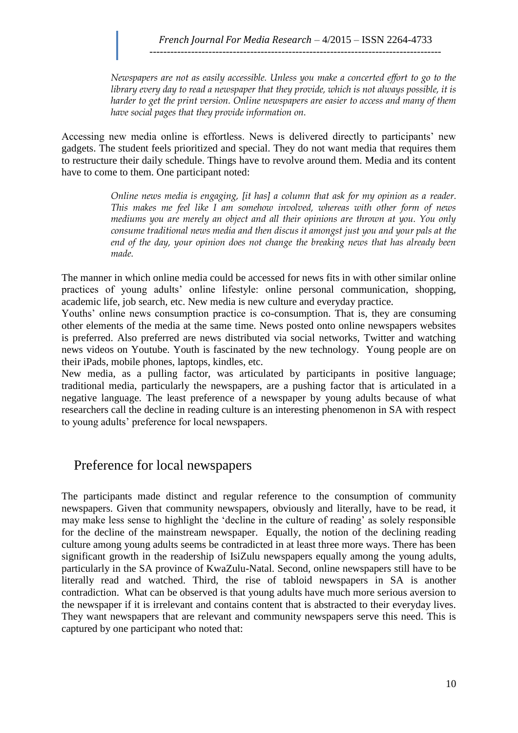*Newspapers are not as easily accessible. Unless you make a concerted effort to go to the library every day to read a newspaper that they provide, which is not always possible, it is harder to get the print version. Online newspapers are easier to access and many of them have social pages that they provide information on.*

Accessing new media online is effortless. News is delivered directly to participants' new gadgets. The student feels prioritized and special. They do not want media that requires them to restructure their daily schedule. Things have to revolve around them. Media and its content have to come to them. One participant noted:

> *Online news media is engaging, [it has] a column that ask for my opinion as a reader. This makes me feel like I am somehow involved, whereas with other form of news mediums you are merely an object and all their opinions are thrown at you. You only consume traditional news media and then discus it amongst just you and your pals at the end of the day, your opinion does not change the breaking news that has already been made.*

The manner in which online media could be accessed for news fits in with other similar online practices of young adults' online lifestyle: online personal communication, shopping, academic life, job search, etc. New media is new culture and everyday practice.

Youths' online news consumption practice is co-consumption. That is, they are consuming other elements of the media at the same time. News posted onto online newspapers websites is preferred. Also preferred are news distributed via social networks, Twitter and watching news videos on Youtube. Youth is fascinated by the new technology. Young people are on their iPads, mobile phones, laptops, kindles, etc.

New media, as a pulling factor, was articulated by participants in positive language; traditional media, particularly the newspapers, are a pushing factor that is articulated in a negative language. The least preference of a newspaper by young adults because of what researchers call the decline in reading culture is an interesting phenomenon in SA with respect to young adults' preference for local newspapers.

### Preference for local newspapers

The participants made distinct and regular reference to the consumption of community newspapers. Given that community newspapers, obviously and literally, have to be read, it may make less sense to highlight the 'decline in the culture of reading' as solely responsible for the decline of the mainstream newspaper. Equally, the notion of the declining reading culture among young adults seems be contradicted in at least three more ways. There has been significant growth in the readership of IsiZulu newspapers equally among the young adults, particularly in the SA province of KwaZulu-Natal. Second, online newspapers still have to be literally read and watched. Third, the rise of tabloid newspapers in SA is another contradiction. What can be observed is that young adults have much more serious aversion to the newspaper if it is irrelevant and contains content that is abstracted to their everyday lives. They want newspapers that are relevant and community newspapers serve this need. This is captured by one participant who noted that: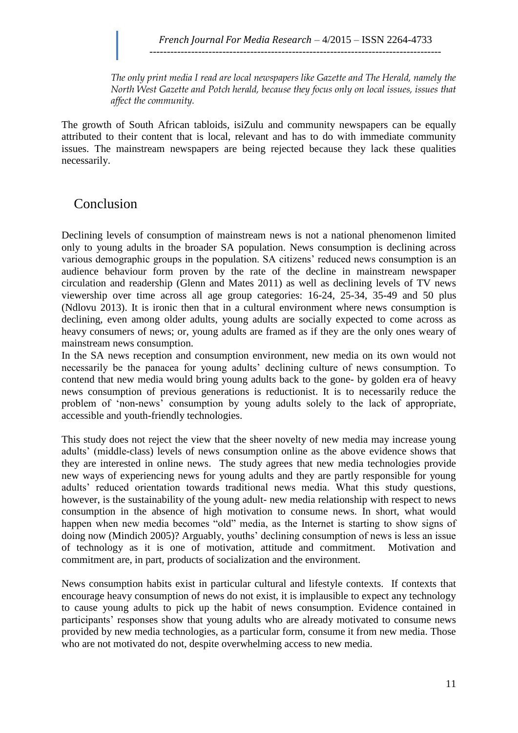*The only print media I read are local newspapers like Gazette and The Herald, namely the North West Gazette and Potch herald, because they focus only on local issues, issues that affect the community.*

The growth of South African tabloids, isiZulu and community newspapers can be equally attributed to their content that is local, relevant and has to do with immediate community issues. The mainstream newspapers are being rejected because they lack these qualities necessarily.

## Conclusion

Declining levels of consumption of mainstream news is not a national phenomenon limited only to young adults in the broader SA population. News consumption is declining across various demographic groups in the population. SA citizens' reduced news consumption is an audience behaviour form proven by the rate of the decline in mainstream newspaper circulation and readership (Glenn and Mates 2011) as well as declining levels of TV news viewership over time across all age group categories: 16-24, 25-34, 35-49 and 50 plus (Ndlovu 2013). It is ironic then that in a cultural environment where news consumption is declining, even among older adults, young adults are socially expected to come across as heavy consumers of news; or, young adults are framed as if they are the only ones weary of mainstream news consumption.

In the SA news reception and consumption environment, new media on its own would not necessarily be the panacea for young adults' declining culture of news consumption. To contend that new media would bring young adults back to the gone- by golden era of heavy news consumption of previous generations is reductionist. It is to necessarily reduce the problem of 'non-news' consumption by young adults solely to the lack of appropriate, accessible and youth-friendly technologies.

This study does not reject the view that the sheer novelty of new media may increase young adults' (middle-class) levels of news consumption online as the above evidence shows that they are interested in online news. The study agrees that new media technologies provide new ways of experiencing news for young adults and they are partly responsible for young adults' reduced orientation towards traditional news media. What this study questions, however, is the sustainability of the young adult- new media relationship with respect to news consumption in the absence of high motivation to consume news. In short, what would happen when new media becomes "old" media, as the Internet is starting to show signs of doing now (Mindich 2005)? Arguably, youths' declining consumption of news is less an issue of technology as it is one of motivation, attitude and commitment. Motivation and commitment are, in part, products of socialization and the environment.

News consumption habits exist in particular cultural and lifestyle contexts. If contexts that encourage heavy consumption of news do not exist, it is implausible to expect any technology to cause young adults to pick up the habit of news consumption. Evidence contained in participants' responses show that young adults who are already motivated to consume news provided by new media technologies, as a particular form, consume it from new media. Those who are not motivated do not, despite overwhelming access to new media.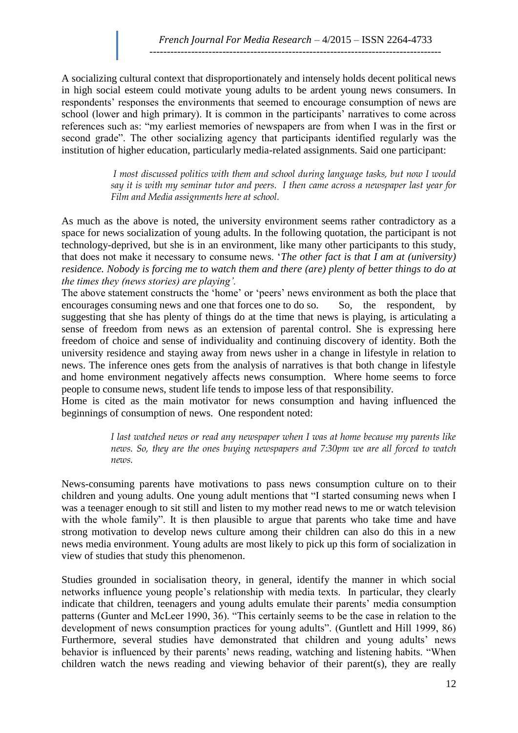A socializing cultural context that disproportionately and intensely holds decent political news in high social esteem could motivate young adults to be ardent young news consumers. In respondents' responses the environments that seemed to encourage consumption of news are school (lower and high primary). It is common in the participants' narratives to come across references such as: "my earliest memories of newspapers are from when I was in the first or second grade". The other socializing agency that participants identified regularly was the institution of higher education, particularly media-related assignments. Said one participant:

> *I most discussed politics with them and school during language tasks, but now I would say it is with my seminar tutor and peers. I then came across a newspaper last year for Film and Media assignments here at school.*

As much as the above is noted, the university environment seems rather contradictory as a space for news socialization of young adults. In the following quotation, the participant is not technology-deprived, but she is in an environment, like many other participants to this study, that does not make it necessary to consume news. '*The other fact is that I am at (university) residence. Nobody is forcing me to watch them and there (are) plenty of better things to do at the times they (news stories) are playing'.* 

The above statement constructs the 'home' or 'peers' news environment as both the place that encourages consuming news and one that forces one to do so. So, the respondent, by suggesting that she has plenty of things do at the time that news is playing, is articulating a sense of freedom from news as an extension of parental control. She is expressing here freedom of choice and sense of individuality and continuing discovery of identity. Both the university residence and staying away from news usher in a change in lifestyle in relation to news. The inference ones gets from the analysis of narratives is that both change in lifestyle and home environment negatively affects news consumption. Where home seems to force people to consume news, student life tends to impose less of that responsibility.

Home is cited as the main motivator for news consumption and having influenced the beginnings of consumption of news. One respondent noted:

> *I last watched news or read any newspaper when I was at home because my parents like news. So, they are the ones buying newspapers and 7:30pm we are all forced to watch news.*

News-consuming parents have motivations to pass news consumption culture on to their children and young adults. One young adult mentions that "I started consuming news when I was a teenager enough to sit still and listen to my mother read news to me or watch television with the whole family". It is then plausible to argue that parents who take time and have strong motivation to develop news culture among their children can also do this in a new news media environment. Young adults are most likely to pick up this form of socialization in view of studies that study this phenomenon.

Studies grounded in socialisation theory, in general, identify the manner in which social networks influence young people's relationship with media texts. In particular, they clearly indicate that children, teenagers and young adults emulate their parents' media consumption patterns (Gunter and McLeer 1990, 36). "This certainly seems to be the case in relation to the development of news consumption practices for young adults". (Guntlett and Hill 1999, 86) Furthermore, several studies have demonstrated that children and young adults' news behavior is influenced by their parents' news reading, watching and listening habits. "When children watch the news reading and viewing behavior of their parent(s), they are really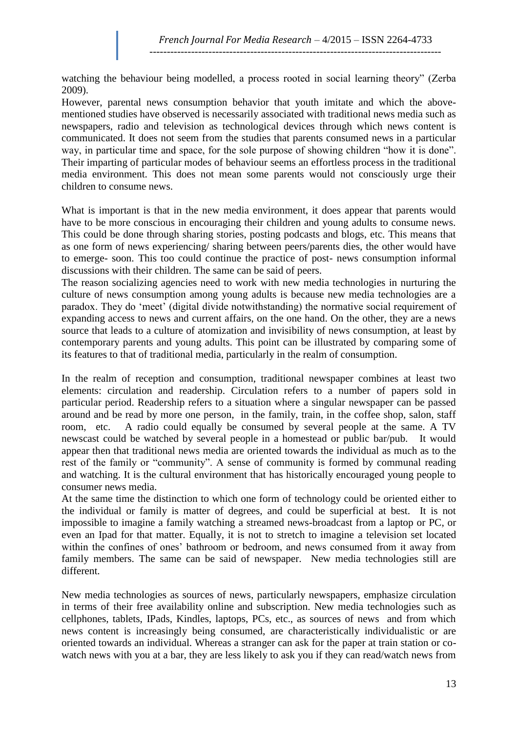watching the behaviour being modelled, a process rooted in social learning theory" (Zerba 2009).

However, parental news consumption behavior that youth imitate and which the abovementioned studies have observed is necessarily associated with traditional news media such as newspapers, radio and television as technological devices through which news content is communicated. It does not seem from the studies that parents consumed news in a particular way, in particular time and space, for the sole purpose of showing children "how it is done". Their imparting of particular modes of behaviour seems an effortless process in the traditional media environment. This does not mean some parents would not consciously urge their children to consume news.

What is important is that in the new media environment, it does appear that parents would have to be more conscious in encouraging their children and young adults to consume news. This could be done through sharing stories, posting podcasts and blogs, etc. This means that as one form of news experiencing/ sharing between peers/parents dies, the other would have to emerge- soon. This too could continue the practice of post- news consumption informal discussions with their children. The same can be said of peers.

The reason socializing agencies need to work with new media technologies in nurturing the culture of news consumption among young adults is because new media technologies are a paradox. They do 'meet' (digital divide notwithstanding) the normative social requirement of expanding access to news and current affairs, on the one hand. On the other, they are a news source that leads to a culture of atomization and invisibility of news consumption, at least by contemporary parents and young adults. This point can be illustrated by comparing some of its features to that of traditional media, particularly in the realm of consumption.

In the realm of reception and consumption, traditional newspaper combines at least two elements: circulation and readership. Circulation refers to a number of papers sold in particular period. Readership refers to a situation where a singular newspaper can be passed around and be read by more one person, in the family, train, in the coffee shop, salon, staff room, etc. A radio could equally be consumed by several people at the same. A TV newscast could be watched by several people in a homestead or public bar/pub. It would appear then that traditional news media are oriented towards the individual as much as to the rest of the family or "community". A sense of community is formed by communal reading and watching. It is the cultural environment that has historically encouraged young people to consumer news media.

At the same time the distinction to which one form of technology could be oriented either to the individual or family is matter of degrees, and could be superficial at best. It is not impossible to imagine a family watching a streamed news-broadcast from a laptop or PC, or even an Ipad for that matter. Equally, it is not to stretch to imagine a television set located within the confines of ones' bathroom or bedroom, and news consumed from it away from family members. The same can be said of newspaper. New media technologies still are different.

New media technologies as sources of news, particularly newspapers, emphasize circulation in terms of their free availability online and subscription. New media technologies such as cellphones, tablets, IPads, Kindles, laptops, PCs, etc., as sources of news and from which news content is increasingly being consumed, are characteristically individualistic or are oriented towards an individual. Whereas a stranger can ask for the paper at train station or cowatch news with you at a bar, they are less likely to ask you if they can read/watch news from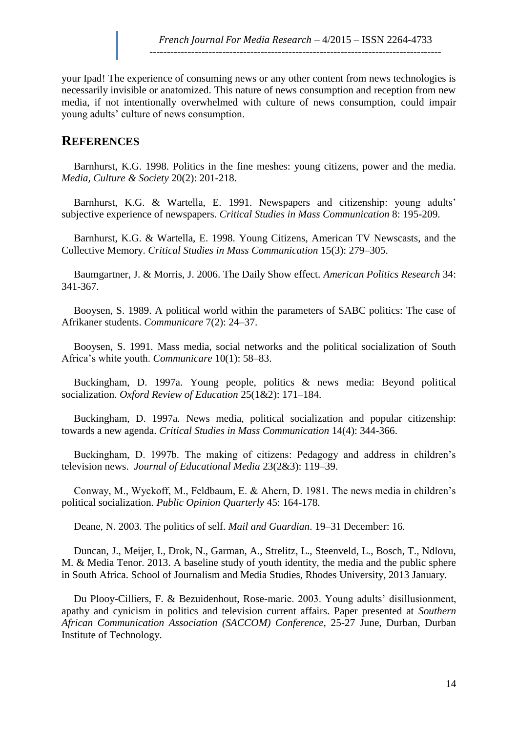your Ipad! The experience of consuming news or any other content from news technologies is necessarily invisible or anatomized. This nature of news consumption and reception from new media, if not intentionally overwhelmed with culture of news consumption, could impair young adults' culture of news consumption.

### **REFERENCES**

Barnhurst, K.G. 1998. Politics in the fine meshes: young citizens, power and the media. *Media, Culture & Society* 20(2): 201-218.

Barnhurst, K.G. & Wartella, E. 1991. Newspapers and citizenship: young adults' subjective experience of newspapers. *Critical Studies in Mass Communication* 8: 195-209.

Barnhurst, K.G. & Wartella, E. 1998. Young Citizens, American TV Newscasts, and the Collective Memory. *Critical Studies in Mass Communication* 15(3): 279–305.

Baumgartner, J. & Morris, J. 2006. The Daily Show effect. *American Politics Research* 34: 341-367.

Booysen, S. 1989. A political world within the parameters of SABC politics: The case of Afrikaner students. *Communicare* 7(2): 24–37.

Booysen, S. 1991. Mass media, social networks and the political socialization of South Africa's white youth. *Communicare* 10(1): 58–83.

Buckingham, D. 1997a. Young people, politics & news media: Beyond political socialization. *Oxford Review of Education* 25(1&2): 171–184.

Buckingham, D. 1997a. News media, political socialization and popular citizenship: towards a new agenda. *Critical Studies in Mass Communication* 14(4): 344-366.

Buckingham, D. 1997b. The making of citizens: Pedagogy and address in children's television news. *Journal of Educational Media* 23(2&3): 119–39.

Conway, M., Wyckoff, M., Feldbaum, E. & Ahern, D. 1981. The news media in children's political socialization. *Public Opinion Quarterly* 45: 164-178.

Deane, N. 2003. The politics of self. *Mail and Guardian*. 19–31 December: 16.

Duncan, J., Meijer, I., Drok, N., Garman, A., Strelitz, L., Steenveld, L., Bosch, T., Ndlovu, M. & Media Tenor. 2013. A baseline study of youth identity, the media and the public sphere in South Africa. School of Journalism and Media Studies, Rhodes University, 2013 January.

Du Plooy-Cilliers, F. & Bezuidenhout, Rose-marie. 2003. Young adults' disillusionment, apathy and cynicism in politics and television current affairs. Paper presented at *Southern African Communication Association (SACCOM) Conference*, 25-27 June, Durban, Durban Institute of Technology.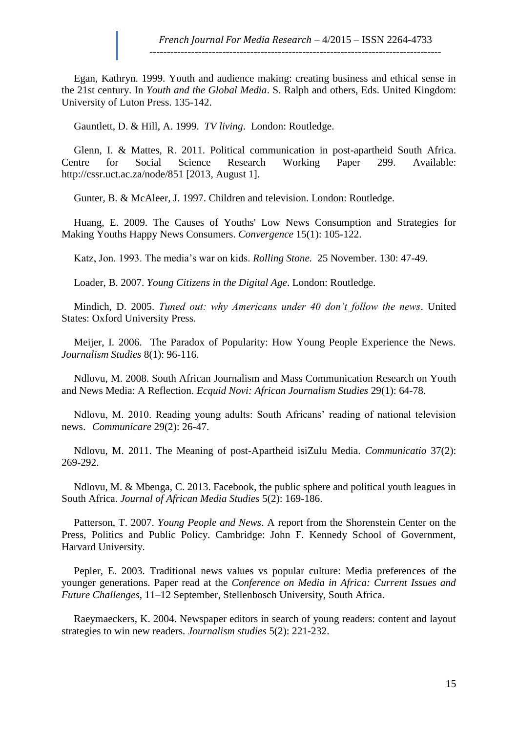Egan, Kathryn. 1999. Youth and audience making: creating business and ethical sense in the 21st century. In *Youth and the Global Media*. S. Ralph and others, Eds. United Kingdom: University of Luton Press. 135-142.

Gauntlett, D. & Hill, A. 1999. *TV living*. London: Routledge.

Glenn, I. & Mattes, R. 2011. Political communication in post-apartheid South Africa. Centre for Social Science Research Working Paper 299. Available: [http://cssr.uct.ac.za/node/851 \[2013,](http://cssr.uct.ac.za/node/851%20%5b2013) August 1].

Gunter, B. & McAleer, J. 1997. Children and television. London: Routledge.

Huang, E. 2009. The Causes of Youths' Low News Consumption and Strategies for Making Youths Happy News Consumers. *Convergence* 15(1): 105-122.

Katz, Jon. 1993. The media's war on kids. *Rolling Stone.* 25 November. 130: 47-49.

Loader, B. 2007. *Young Citizens in the Digital Age*. London: Routledge.

Mindich, D. 2005. *Tuned out: why Americans under 40 don't follow the news*. United States: Oxford University Press.

Meijer, I. 2006. The Paradox of Popularity: How Young People Experience the News. *Journalism Studies* 8(1): 96-116.

Ndlovu, M. 2008. South African Journalism and Mass Communication Research on Youth and News Media: A Reflection. *Ecquid Novi: African Journalism Studies* 29(1): 64-78.

Ndlovu, M. 2010. Reading young adults: South Africans' reading of national television news. *Communicare* 29(2): 26-47.

Ndlovu, M. 2011. The Meaning of post-Apartheid isiZulu Media. *Communicatio* 37(2): 269-292.

Ndlovu, M. & Mbenga, C. 2013. Facebook, the public sphere and political youth leagues in South Africa. *Journal of African Media Studies* 5(2): 169-186.

Patterson, T. 2007. *Young People and News*. A report from the Shorenstein Center on the Press, Politics and Public Policy. Cambridge: John F. Kennedy School of Government, Harvard University.

Pepler, E. 2003. Traditional news values vs popular culture: Media preferences of the younger generations. Paper read at the *Conference on Media in Africa: Current Issues and Future Challenges*, 11–12 September, Stellenbosch University, South Africa.

Raeymaeckers, K. 2004. Newspaper editors in search of young readers: content and layout strategies to win new readers. *Journalism studies* 5(2): 221-232.